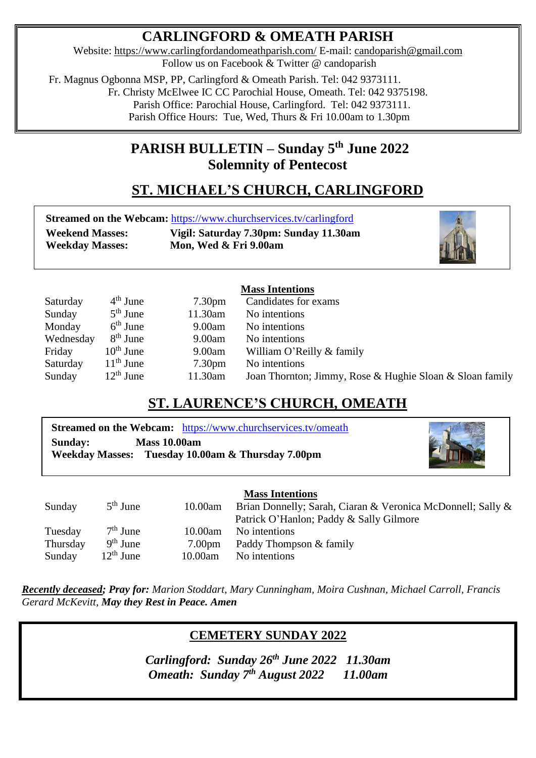# **CARLINGFORD & OMEATH PARISH**

Website:<https://www.carlingfordandomeathparish.com/> E-mail: [candoparish@gmail.com](mailto:candoparish@gmail.com) Follow us on Facebook & Twitter @ candoparish

 Fr. Magnus Ogbonna MSP, PP, Carlingford & Omeath Parish. Tel: 042 9373111. Fr. Christy McElwee IC CC Parochial House, Omeath. Tel: 042 9375198. Parish Office: Parochial House, Carlingford. Tel: 042 9373111.

Parish Office Hours: Tue, Wed, Thurs & Fri 10.00am to 1.30pm

# **PARISH BULLETIN – Sunday 5 th June 2022 Solemnity of Pentecost**

# **ST. MICHAEL'S CHURCH, CARLINGFORD**

**Streamed on the Webcam:** <https://www.churchservices.tv/carlingford> **Weekend Masses: Vigil: Saturday 7.30pm: Sunday 11.30am**

 **Weekday Masses: Mon, Wed & Fri 9.00am**



## **Mass Intentions**

| Saturday  | $4th$ June  | 7.30 <sub>pm</sub> | Candidates for exams                                     |
|-----------|-------------|--------------------|----------------------------------------------------------|
| Sunday    | $5th$ June  | 11.30am            | No intentions                                            |
| Monday    | $6th$ June  | 9.00am             | No intentions                                            |
| Wednesday | $8th$ June  | 9.00am             | No intentions                                            |
| Friday    | $10th$ June | 9.00am             | William O'Reilly & family                                |
| Saturday  | $11th$ June | 7.30 <sub>pm</sub> | No intentions                                            |
| Sunday    | $12th$ June | 11.30am            | Joan Thornton; Jimmy, Rose & Hughie Sloan & Sloan family |

# **ST. LAURENCE'S CHURCH, OMEATH**

|                                       | <b>Streamed on the Webcam:</b> https://www.churchservices.tv/omeath |
|---------------------------------------|---------------------------------------------------------------------|
| <b>Sunday:</b><br><b>Mass 10.00am</b> |                                                                     |
|                                       | Weekday Masses: Tuesday 10.00am & Thursday 7.00pm                   |



## **Mass Intentions**

|          |             |                    | ттаазэ титептионз                                           |
|----------|-------------|--------------------|-------------------------------------------------------------|
| Sunday   | $5th$ June  | 10.00am            | Brian Donnelly; Sarah, Ciaran & Veronica McDonnell; Sally & |
|          |             |                    | Patrick O'Hanlon; Paddy & Sally Gilmore                     |
| Tuesday  | $7th$ June  | 10.00am            | No intentions                                               |
| Thursday | $9th$ June  | 7.00 <sub>pm</sub> | Paddy Thompson & family                                     |
| Sunday   | $12th$ June | 10.00am            | No intentions                                               |
|          |             |                    |                                                             |

*Recently deceased; Pray for: Marion Stoddart, Mary Cunningham, Moira Cushnan, Michael Carroll, Francis*  *Gerard McKevitt, May they Rest in Peace. Amen* 

# **CEMETERY SUNDAY 2022**

*Omeath: Sunday 7<sup>th</sup> August 2022* **11.00am** *Carlingford: Sunday 26th June 2022 11.30am*